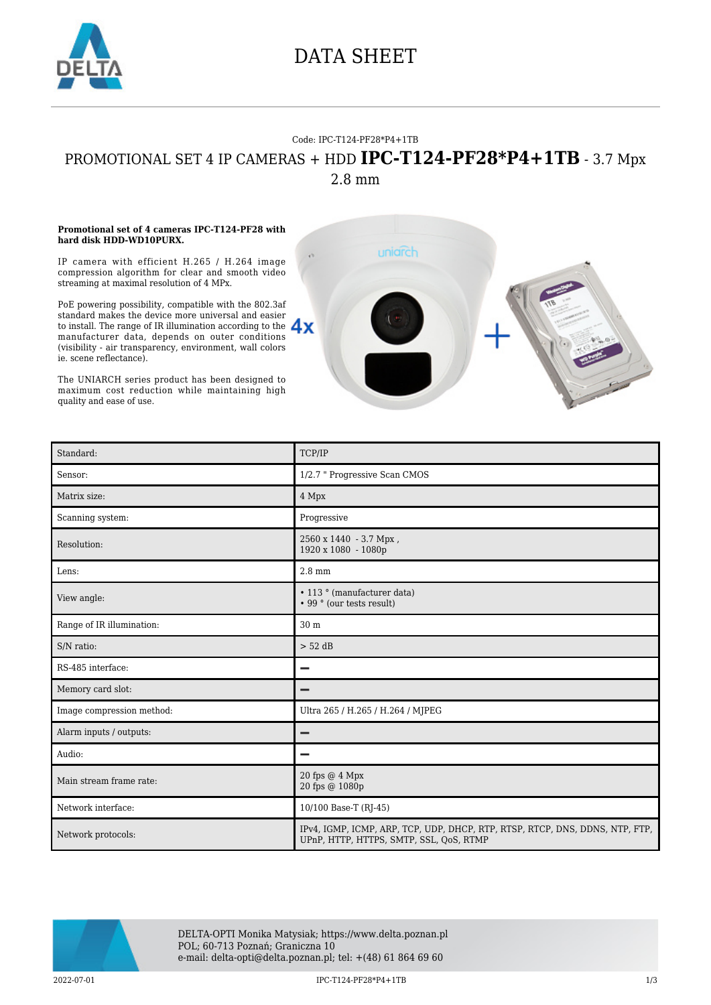

### DATA SHEET

### Code: IPC-T124-PF28\*P4+1TB

# PROMOTIONAL SET 4 IP CAMERAS + HDD **IPC-T124-PF28\*P4+1TB** - 3.7 Mpx

2.8 mm

#### **Promotional set of 4 cameras IPC-T124-PF28 with hard disk HDD-WD10PURX.**

IP camera with efficient H.265 / H.264 image compression algorithm for clear and smooth video streaming at maximal resolution of 4 MPx.

PoE powering possibility, compatible with the 802.3af standard makes the device more universal and easier to install. The range of IR illumination according to the  $\Delta x$ manufacturer data, depends on outer conditions (visibility - air transparency, environment, wall colors ie. scene reflectance).

The UNIARCH series product has been designed to maximum cost reduction while maintaining high quality and ease of use.



| Standard:                 | TCP/IP                                                                                                                  |
|---------------------------|-------------------------------------------------------------------------------------------------------------------------|
| Sensor:                   | 1/2.7 " Progressive Scan CMOS                                                                                           |
| Matrix size:              | 4 Mpx                                                                                                                   |
| Scanning system:          | Progressive                                                                                                             |
| Resolution:               | 2560 x 1440 - 3.7 Mpx,<br>1920 x 1080 - 1080p                                                                           |
| Lens:                     | $2.8 \text{ mm}$                                                                                                        |
| View angle:               | • 113 ° (manufacturer data)<br>• 99 ° (our tests result)                                                                |
| Range of IR illumination: | 30 m                                                                                                                    |
| S/N ratio:                | $> 52$ dB                                                                                                               |
| RS-485 interface:         |                                                                                                                         |
| Memory card slot:         |                                                                                                                         |
| Image compression method: | Ultra 265 / H.265 / H.264 / MJPEG                                                                                       |
| Alarm inputs / outputs:   |                                                                                                                         |
| Audio:                    |                                                                                                                         |
| Main stream frame rate:   | 20 fps @ 4 Mpx<br>20 fps @ 1080p                                                                                        |
| Network interface:        | 10/100 Base-T (RJ-45)                                                                                                   |
| Network protocols:        | IPv4, IGMP, ICMP, ARP, TCP, UDP, DHCP, RTP, RTSP, RTCP, DNS, DDNS, NTP, FTP,<br>UPnP, HTTP, HTTPS, SMTP, SSL, QoS, RTMP |



DELTA-OPTI Monika Matysiak; https://www.delta.poznan.pl POL; 60-713 Poznań; Graniczna 10 e-mail: delta-opti@delta.poznan.pl; tel: +(48) 61 864 69 60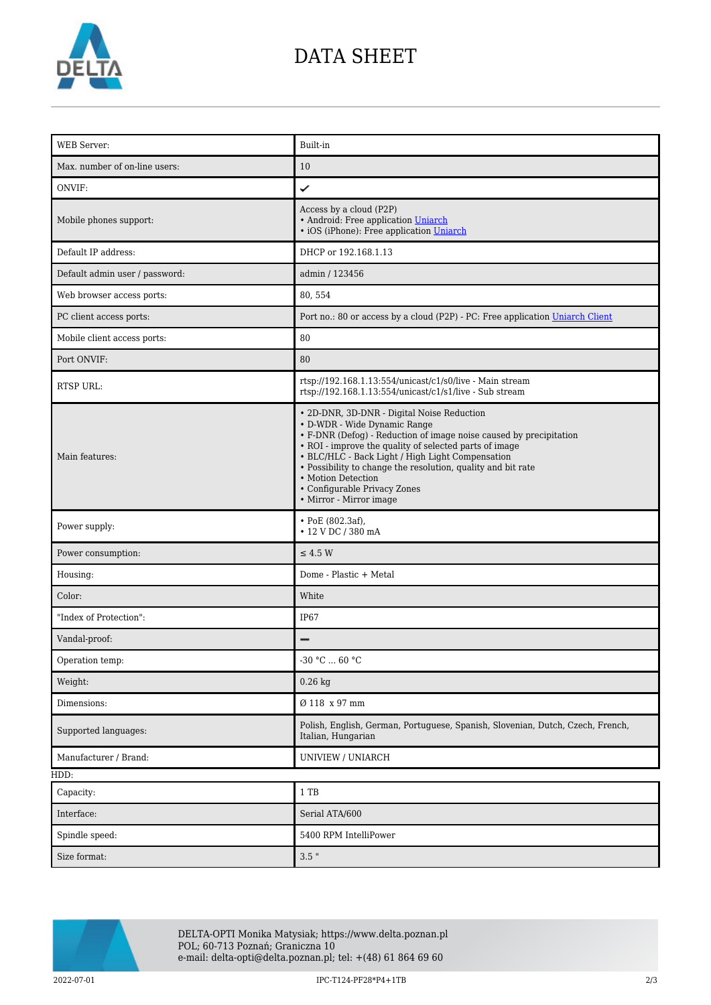

### DATA SHEET

| <b>WEB</b> Server:             | Built-in                                                                                                                                                                                                                                                                                                                                                                                                        |
|--------------------------------|-----------------------------------------------------------------------------------------------------------------------------------------------------------------------------------------------------------------------------------------------------------------------------------------------------------------------------------------------------------------------------------------------------------------|
| Max. number of on-line users:  | 10                                                                                                                                                                                                                                                                                                                                                                                                              |
| ONVIF:                         | ✓                                                                                                                                                                                                                                                                                                                                                                                                               |
| Mobile phones support:         | Access by a cloud (P2P)<br>• Android: Free application Uniarch<br>• iOS (iPhone): Free application Uniarch                                                                                                                                                                                                                                                                                                      |
| Default IP address:            | DHCP or 192.168.1.13                                                                                                                                                                                                                                                                                                                                                                                            |
| Default admin user / password: | admin / 123456                                                                                                                                                                                                                                                                                                                                                                                                  |
| Web browser access ports:      | 80, 554                                                                                                                                                                                                                                                                                                                                                                                                         |
| PC client access ports:        | Port no.: 80 or access by a cloud (P2P) - PC: Free application Uniarch Client                                                                                                                                                                                                                                                                                                                                   |
| Mobile client access ports:    | 80                                                                                                                                                                                                                                                                                                                                                                                                              |
| Port ONVIF:                    | 80                                                                                                                                                                                                                                                                                                                                                                                                              |
| <b>RTSP URL:</b>               | rtsp://192.168.1.13:554/unicast/c1/s0/live - Main stream<br>rtsp://192.168.1.13:554/unicast/c1/s1/live - Sub stream                                                                                                                                                                                                                                                                                             |
| Main features:                 | • 2D-DNR, 3D-DNR - Digital Noise Reduction<br>• D-WDR - Wide Dynamic Range<br>• F-DNR (Defog) - Reduction of image noise caused by precipitation<br>• ROI - improve the quality of selected parts of image<br>• BLC/HLC - Back Light / High Light Compensation<br>• Possibility to change the resolution, quality and bit rate<br>• Motion Detection<br>• Configurable Privacy Zones<br>• Mirror - Mirror image |
| Power supply:                  | • PoE (802.3af),<br>• 12 V DC / 380 mA                                                                                                                                                                                                                                                                                                                                                                          |
| Power consumption:             | $\leq$ 4.5 W                                                                                                                                                                                                                                                                                                                                                                                                    |
| Housing:                       | Dome - Plastic + Metal                                                                                                                                                                                                                                                                                                                                                                                          |
| Color:                         | White                                                                                                                                                                                                                                                                                                                                                                                                           |
| "Index of Protection":         | IP67                                                                                                                                                                                                                                                                                                                                                                                                            |
| Vandal-proof:                  |                                                                                                                                                                                                                                                                                                                                                                                                                 |
| Operation temp:                | -30 °C  60 °C                                                                                                                                                                                                                                                                                                                                                                                                   |
| Weight:                        | $0.26$ kg                                                                                                                                                                                                                                                                                                                                                                                                       |
| Dimensions:                    | Ø 118 x 97 mm                                                                                                                                                                                                                                                                                                                                                                                                   |
| Supported languages:           | Polish, English, German, Portuguese, Spanish, Slovenian, Dutch, Czech, French,<br>Italian, Hungarian                                                                                                                                                                                                                                                                                                            |
| Manufacturer / Brand:          | UNIVIEW / UNIARCH                                                                                                                                                                                                                                                                                                                                                                                               |
| HDD:                           |                                                                                                                                                                                                                                                                                                                                                                                                                 |
| Capacity:                      | $1$ TB                                                                                                                                                                                                                                                                                                                                                                                                          |
| Interface:                     | Serial ATA/600                                                                                                                                                                                                                                                                                                                                                                                                  |
| Spindle speed:                 | 5400 RPM IntelliPower                                                                                                                                                                                                                                                                                                                                                                                           |
| Size format:                   | $3.5$ "                                                                                                                                                                                                                                                                                                                                                                                                         |



DELTA-OPTI Monika Matysiak; https://www.delta.poznan.pl POL; 60-713 Poznań; Graniczna 10 e-mail: delta-opti@delta.poznan.pl; tel: +(48) 61 864 69 60